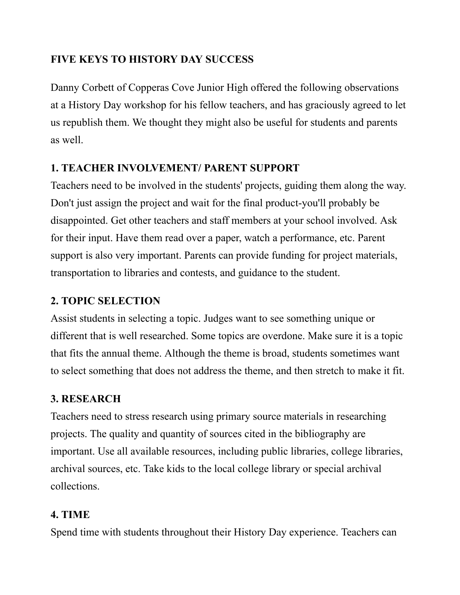## **FIVE KEYS TO HISTORY DAY SUCCESS**

Danny Corbett of Copperas Cove Junior High offered the following observations at a History Day workshop for his fellow teachers, and has graciously agreed to let us republish them. We thought they might also be useful for students and parents as well.

## **1. TEACHER INVOLVEMENT/ PARENT SUPPORT**

Teachers need to be involved in the students' projects, guiding them along the way. Don't just assign the project and wait for the final product-you'll probably be disappointed. Get other teachers and staff members at your school involved. Ask for their input. Have them read over a paper, watch a performance, etc. Parent support is also very important. Parents can provide funding for project materials, transportation to libraries and contests, and guidance to the student.

### **2. TOPIC SELECTION**

Assist students in selecting a topic. Judges want to see something unique or different that is well researched. Some topics are overdone. Make sure it is a topic that fits the annual theme. Although the theme is broad, students sometimes want to select something that does not address the theme, and then stretch to make it fit.

#### **3. RESEARCH**

Teachers need to stress research using primary source materials in researching projects. The quality and quantity of sources cited in the bibliography are important. Use all available resources, including public libraries, college libraries, archival sources, etc. Take kids to the local college library or special archival collections.

#### **4. TIME**

Spend time with students throughout their History Day experience. Teachers can